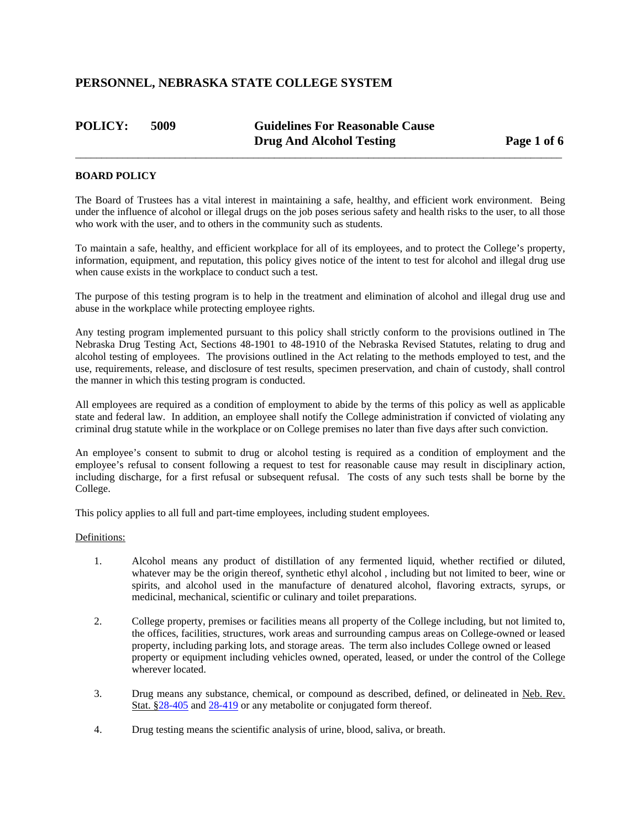| <b>POLICY:</b> | 5009 | <b>Guidelines For Reasonable Cause</b> |             |
|----------------|------|----------------------------------------|-------------|
|                |      | <b>Drug And Alcohol Testing</b>        | Page 1 of 6 |

 $\overline{a}$  , and the contribution of the contribution of the contribution of the contribution of the contribution of  $\overline{a}$ 

### **BOARD POLICY**

The Board of Trustees has a vital interest in maintaining a safe, healthy, and efficient work environment. Being under the influence of alcohol or illegal drugs on the job poses serious safety and health risks to the user, to all those who work with the user, and to others in the community such as students.

To maintain a safe, healthy, and efficient workplace for all of its employees, and to protect the College's property, information, equipment, and reputation, this policy gives notice of the intent to test for alcohol and illegal drug use when cause exists in the workplace to conduct such a test.

The purpose of this testing program is to help in the treatment and elimination of alcohol and illegal drug use and abuse in the workplace while protecting employee rights.

Any testing program implemented pursuant to this policy shall strictly conform to the provisions outlined in The Nebraska Drug Testing Act, Sections 48-1901 to 48-1910 of the Nebraska Revised Statutes, relating to drug and alcohol testing of employees. The provisions outlined in the Act relating to the methods employed to test, and the use, requirements, release, and disclosure of test results, specimen preservation, and chain of custody, shall control the manner in which this testing program is conducted.

All employees are required as a condition of employment to abide by the terms of this policy as well as applicable state and federal law. In addition, an employee shall notify the College administration if convicted of violating any criminal drug statute while in the workplace or on College premises no later than five days after such conviction.

An employee's consent to submit to drug or alcohol testing is required as a condition of employment and the employee's refusal to consent following a request to test for reasonable cause may result in disciplinary action, including discharge, for a first refusal or subsequent refusal. The costs of any such tests shall be borne by the College.

This policy applies to all full and part-time employees, including student employees.

### Definitions:

- 1. Alcohol means any product of distillation of any fermented liquid, whether rectified or diluted, whatever may be the origin thereof, synthetic ethyl alcohol , including but not limited to beer, wine or spirits, and alcohol used in the manufacture of denatured alcohol, flavoring extracts, syrups, or medicinal, mechanical, scientific or culinary and toilet preparations.
- 2. College property, premises or facilities means all property of the College including, but not limited to, the offices, facilities, structures, work areas and surrounding campus areas on College-owned or leased property, including parking lots, and storage areas. The term also includes College owned or leased property or equipment including vehicles owned, operated, leased, or under the control of the College wherever located.
- 3. Drug means any substance, chemical, or compound as described, defined, or delineated in Neb. Rev. Stat. §28-405 and 28-419 or any metabolite or conjugated form thereof.
- 4. Drug testing means the scientific analysis of urine, blood, saliva, or breath.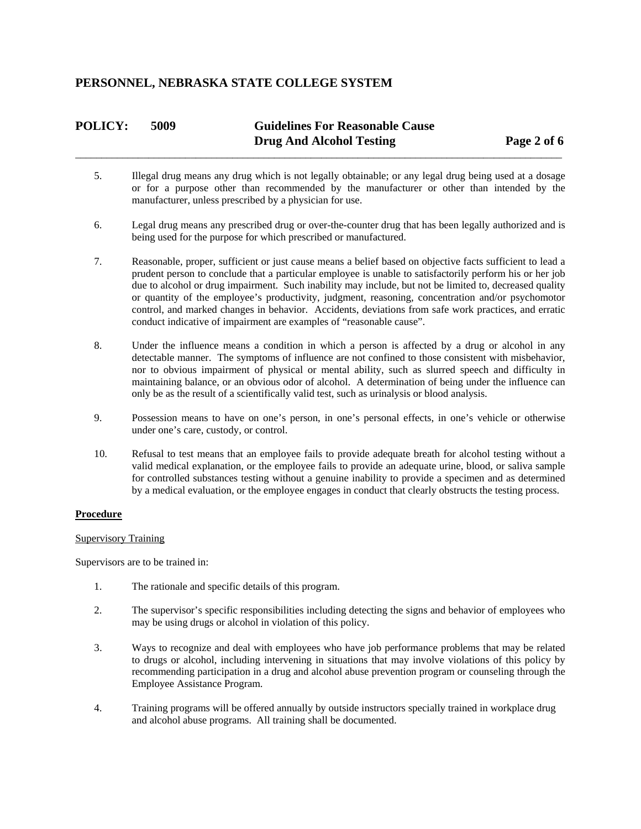# **POLICY: 5009 Guidelines For Reasonable Cause Drug And Alcohol Testing Page 2 of 6**

 $\overline{a}$  , and the contribution of the contribution of the contribution of the contribution of the contribution of  $\overline{a}$ 

- 5. Illegal drug means any drug which is not legally obtainable; or any legal drug being used at a dosage or for a purpose other than recommended by the manufacturer or other than intended by the manufacturer, unless prescribed by a physician for use.
- 6. Legal drug means any prescribed drug or over-the-counter drug that has been legally authorized and is being used for the purpose for which prescribed or manufactured.
- 7. Reasonable, proper, sufficient or just cause means a belief based on objective facts sufficient to lead a prudent person to conclude that a particular employee is unable to satisfactorily perform his or her job due to alcohol or drug impairment. Such inability may include, but not be limited to, decreased quality or quantity of the employee's productivity, judgment, reasoning, concentration and/or psychomotor control, and marked changes in behavior. Accidents, deviations from safe work practices, and erratic conduct indicative of impairment are examples of "reasonable cause".
- 8. Under the influence means a condition in which a person is affected by a drug or alcohol in any detectable manner. The symptoms of influence are not confined to those consistent with misbehavior, nor to obvious impairment of physical or mental ability, such as slurred speech and difficulty in maintaining balance, or an obvious odor of alcohol. A determination of being under the influence can only be as the result of a scientifically valid test, such as urinalysis or blood analysis.
- 9. Possession means to have on one's person, in one's personal effects, in one's vehicle or otherwise under one's care, custody, or control.
- 10. Refusal to test means that an employee fails to provide adequate breath for alcohol testing without a valid medical explanation, or the employee fails to provide an adequate urine, blood, or saliva sample for controlled substances testing without a genuine inability to provide a specimen and as determined by a medical evaluation, or the employee engages in conduct that clearly obstructs the testing process.

### **Procedure**

#### Supervisory Training

Supervisors are to be trained in:

- 1. The rationale and specific details of this program.
- 2. The supervisor's specific responsibilities including detecting the signs and behavior of employees who may be using drugs or alcohol in violation of this policy.
- 3. Ways to recognize and deal with employees who have job performance problems that may be related to drugs or alcohol, including intervening in situations that may involve violations of this policy by recommending participation in a drug and alcohol abuse prevention program or counseling through the Employee Assistance Program.
- 4. Training programs will be offered annually by outside instructors specially trained in workplace drug and alcohol abuse programs. All training shall be documented.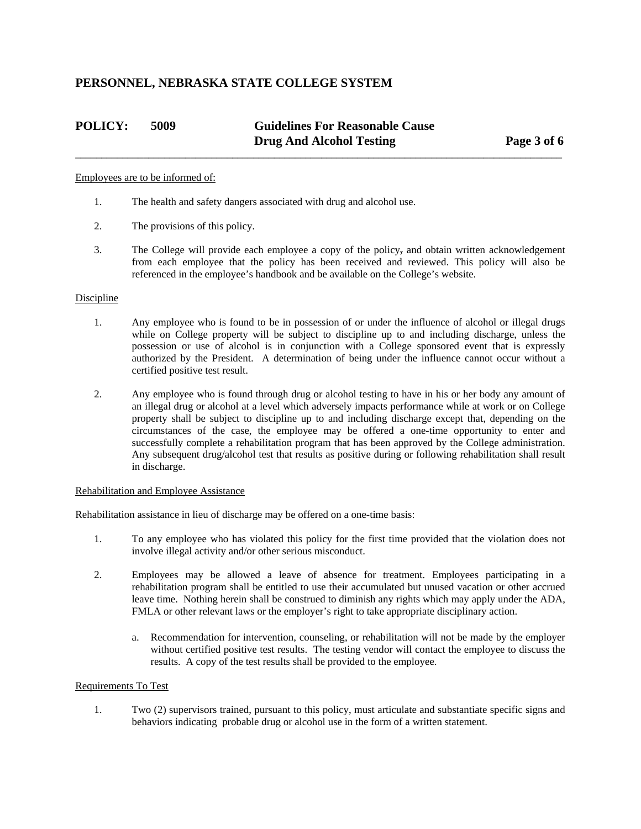## **POLICY: 5009 Guidelines For Reasonable Cause Drug And Alcohol Testing Page 3 of 6**

#### Employees are to be informed of:

- 1. The health and safety dangers associated with drug and alcohol use.
- 2. The provisions of this policy.
- 3. The College will provide each employee a copy of the policy, and obtain written acknowledgement from each employee that the policy has been received and reviewed. This policy will also be referenced in the employee's handbook and be available on the College's website.

 $\overline{a}$  , and the contribution of the contribution of the contribution of the contribution of the contribution of  $\overline{a}$ 

#### Discipline

- 1. Any employee who is found to be in possession of or under the influence of alcohol or illegal drugs while on College property will be subject to discipline up to and including discharge, unless the possession or use of alcohol is in conjunction with a College sponsored event that is expressly authorized by the President. A determination of being under the influence cannot occur without a certified positive test result.
- 2. Any employee who is found through drug or alcohol testing to have in his or her body any amount of an illegal drug or alcohol at a level which adversely impacts performance while at work or on College property shall be subject to discipline up to and including discharge except that, depending on the circumstances of the case, the employee may be offered a one-time opportunity to enter and successfully complete a rehabilitation program that has been approved by the College administration. Any subsequent drug/alcohol test that results as positive during or following rehabilitation shall result in discharge.

#### Rehabilitation and Employee Assistance

Rehabilitation assistance in lieu of discharge may be offered on a one-time basis:

- 1. To any employee who has violated this policy for the first time provided that the violation does not involve illegal activity and/or other serious misconduct.
- 2. Employees may be allowed a leave of absence for treatment. Employees participating in a rehabilitation program shall be entitled to use their accumulated but unused vacation or other accrued leave time. Nothing herein shall be construed to diminish any rights which may apply under the ADA, FMLA or other relevant laws or the employer's right to take appropriate disciplinary action.
	- a. Recommendation for intervention, counseling, or rehabilitation will not be made by the employer without certified positive test results. The testing vendor will contact the employee to discuss the results. A copy of the test results shall be provided to the employee.

#### Requirements To Test

 1. Two (2) supervisors trained, pursuant to this policy, must articulate and substantiate specific signs and behaviors indicating probable drug or alcohol use in the form of a written statement.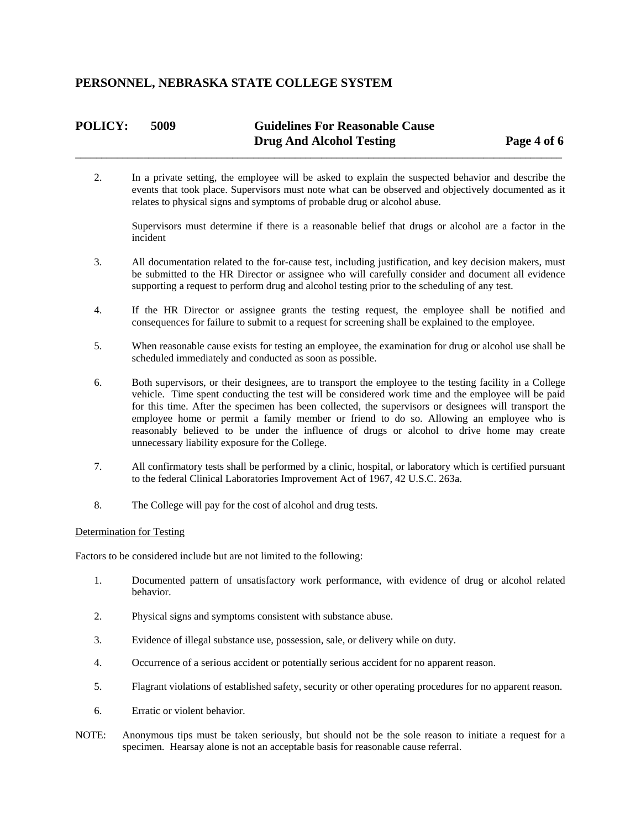### **POLICY: 5009 Guidelines For Reasonable Cause Drug And Alcohol Testing Page 4 of 6**  $\overline{a}$  , and the contribution of the contribution of the contribution of the contribution of the contribution of  $\overline{a}$

2. In a private setting, the employee will be asked to explain the suspected behavior and describe the events that took place. Supervisors must note what can be observed and objectively documented as it relates to physical signs and symptoms of probable drug or alcohol abuse.

Supervisors must determine if there is a reasonable belief that drugs or alcohol are a factor in the incident

- 3. All documentation related to the for-cause test, including justification, and key decision makers, must be submitted to the HR Director or assignee who will carefully consider and document all evidence supporting a request to perform drug and alcohol testing prior to the scheduling of any test.
- 4. If the HR Director or assignee grants the testing request, the employee shall be notified and consequences for failure to submit to a request for screening shall be explained to the employee.
- 5. When reasonable cause exists for testing an employee, the examination for drug or alcohol use shall be scheduled immediately and conducted as soon as possible.
- 6. Both supervisors, or their designees, are to transport the employee to the testing facility in a College vehicle. Time spent conducting the test will be considered work time and the employee will be paid for this time. After the specimen has been collected, the supervisors or designees will transport the employee home or permit a family member or friend to do so. Allowing an employee who is reasonably believed to be under the influence of drugs or alcohol to drive home may create unnecessary liability exposure for the College.
- 7. All confirmatory tests shall be performed by a clinic, hospital, or laboratory which is certified pursuant to the federal Clinical Laboratories Improvement Act of 1967, 42 U.S.C. 263a.
- 8. The College will pay for the cost of alcohol and drug tests.

#### Determination for Testing

Factors to be considered include but are not limited to the following:

- 1. Documented pattern of unsatisfactory work performance, with evidence of drug or alcohol related behavior.
- 2. Physical signs and symptoms consistent with substance abuse.
- 3. Evidence of illegal substance use, possession, sale, or delivery while on duty.
- 4. Occurrence of a serious accident or potentially serious accident for no apparent reason.
- 5. Flagrant violations of established safety, security or other operating procedures for no apparent reason.
- 6. Erratic or violent behavior.
- NOTE: Anonymous tips must be taken seriously, but should not be the sole reason to initiate a request for a specimen. Hearsay alone is not an acceptable basis for reasonable cause referral.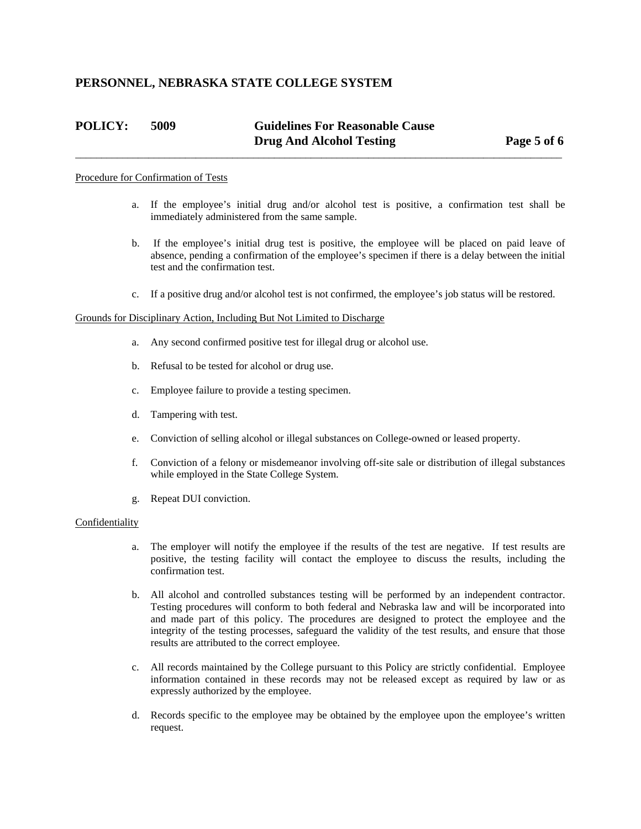# **POLICY: 5009 Guidelines For Reasonable Cause Drug And Alcohol Testing Page 5 of 6**

 $\overline{a}$  , and the contribution of the contribution of the contribution of the contribution of the contribution of  $\overline{a}$ 

#### Procedure for Confirmation of Tests

- a. If the employee's initial drug and/or alcohol test is positive, a confirmation test shall be immediately administered from the same sample.
- b. If the employee's initial drug test is positive, the employee will be placed on paid leave of absence, pending a confirmation of the employee's specimen if there is a delay between the initial test and the confirmation test.
- c. If a positive drug and/or alcohol test is not confirmed, the employee's job status will be restored.

#### Grounds for Disciplinary Action, Including But Not Limited to Discharge

- a. Any second confirmed positive test for illegal drug or alcohol use.
- b. Refusal to be tested for alcohol or drug use.
- c. Employee failure to provide a testing specimen.
- d. Tampering with test.
- e. Conviction of selling alcohol or illegal substances on College-owned or leased property.
- f. Conviction of a felony or misdemeanor involving off-site sale or distribution of illegal substances while employed in the State College System.
- g. Repeat DUI conviction.

#### Confidentiality

- a. The employer will notify the employee if the results of the test are negative. If test results are positive, the testing facility will contact the employee to discuss the results, including the confirmation test.
- b. All alcohol and controlled substances testing will be performed by an independent contractor. Testing procedures will conform to both federal and Nebraska law and will be incorporated into and made part of this policy. The procedures are designed to protect the employee and the integrity of the testing processes, safeguard the validity of the test results, and ensure that those results are attributed to the correct employee.
- c. All records maintained by the College pursuant to this Policy are strictly confidential. Employee information contained in these records may not be released except as required by law or as expressly authorized by the employee.
- d. Records specific to the employee may be obtained by the employee upon the employee's written request.